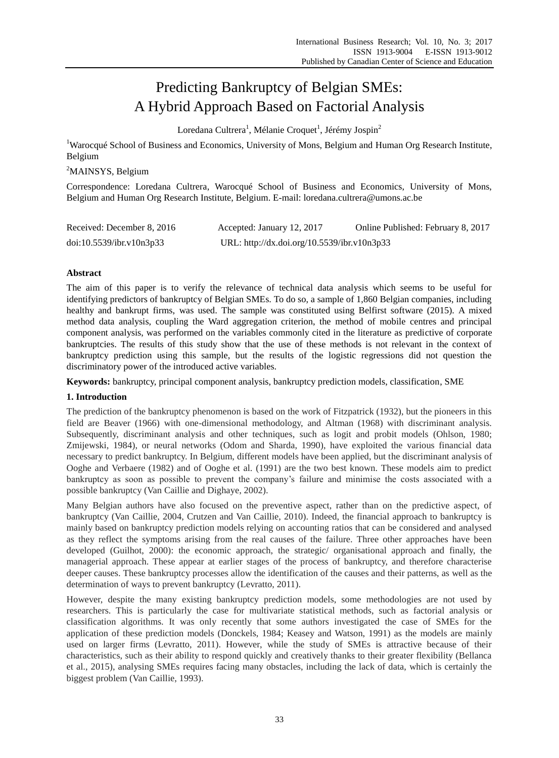# Predicting Bankruptcy of Belgian SMEs: A Hybrid Approach Based on Factorial Analysis

Loredana Cultrera<sup>1</sup>, M <del>d</del>anie Croquet<sup>1</sup>, J ér ény Jospin<sup>2</sup>

<sup>1</sup>Warocqué School of Business and Economics, University of Mons, Belgium and Human Org Research Institute, Belgium

<sup>2</sup>MAINSYS, Belgium

Correspondence: Loredana Cultrera, Warocqué School of Business and Economics, University of Mons, Belgium and Human Org Research Institute, Belgium. E-mail: loredana.cultrera@umons.ac.be

| Received: December 8, 2016 | Accepted: January 12, 2017                  | Online Published: February 8, 2017 |
|----------------------------|---------------------------------------------|------------------------------------|
| doi:10.5539/ibr.v10n3p33   | URL: http://dx.doi.org/10.5539/ibr.v10n3p33 |                                    |

## **Abstract**

The aim of this paper is to verify the relevance of technical data analysis which seems to be useful for identifying predictors of bankruptcy of Belgian SMEs. To do so, a sample of 1,860 Belgian companies, including healthy and bankrupt firms, was used. The sample was constituted using Belfirst software (2015). A mixed method data analysis, coupling the Ward aggregation criterion, the method of mobile centres and principal component analysis, was performed on the variables commonly cited in the literature as predictive of corporate bankruptcies. The results of this study show that the use of these methods is not relevant in the context of bankruptcy prediction using this sample, but the results of the logistic regressions did not question the discriminatory power of the introduced active variables.

**Keywords:** bankruptcy, principal component analysis, bankruptcy prediction models, classification, SME

## **1. Introduction**

The prediction of the bankruptcy phenomenon is based on the work of Fitzpatrick (1932), but the pioneers in this field are Beaver (1966) with one-dimensional methodology, and Altman (1968) with discriminant analysis. Subsequently, discriminant analysis and other techniques, such as logit and probit models (Ohlson, 1980; Zmijewski, 1984), or neural networks (Odom and Sharda, 1990), have exploited the various financial data necessary to predict bankruptcy. In Belgium, different models have been applied, but the discriminant analysis of Ooghe and Verbaere (1982) and of Ooghe et al. (1991) are the two best known. These models aim to predict bankruptcy as soon as possible to prevent the company's failure and minimise the costs associated with a possible bankruptcy (Van Caillie and Dighaye, 2002).

Many Belgian authors have also focused on the preventive aspect, rather than on the predictive aspect, of bankruptcy (Van Caillie, 2004, Crutzen and Van Caillie, 2010). Indeed, the financial approach to bankruptcy is mainly based on bankruptcy prediction models relying on accounting ratios that can be considered and analysed as they reflect the symptoms arising from the real causes of the failure. Three other approaches have been developed (Guilhot, 2000): the economic approach, the strategic/ organisational approach and finally, the managerial approach. These appear at earlier stages of the process of bankruptcy, and therefore characterise deeper causes. These bankruptcy processes allow the identification of the causes and their patterns, as well as the determination of ways to prevent bankruptcy (Levratto, 2011).

However, despite the many existing bankruptcy prediction models, some methodologies are not used by researchers. This is particularly the case for multivariate statistical methods, such as factorial analysis or classification algorithms. It was only recently that some authors investigated the case of SMEs for the application of these prediction models (Donckels, 1984; Keasey and Watson, 1991) as the models are mainly used on larger firms (Levratto, 2011). However, while the study of SMEs is attractive because of their characteristics, such as their ability to respond quickly and creatively thanks to their greater flexibility (Bellanca et al., 2015), analysing SMEs requires facing many obstacles, including the lack of data, which is certainly the biggest problem (Van Caillie, 1993).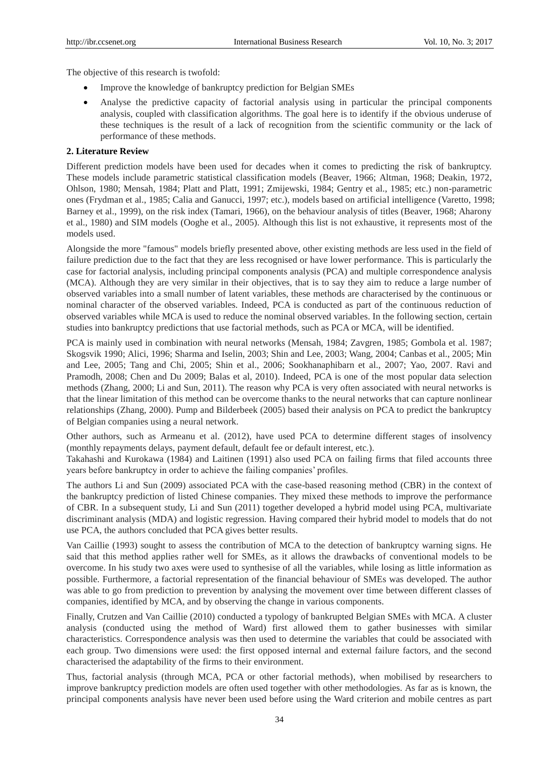The objective of this research is twofold:

- Improve the knowledge of bankruptcy prediction for Belgian SMEs
- Analyse the predictive capacity of factorial analysis using in particular the principal components analysis, coupled with classification algorithms. The goal here is to identify if the obvious underuse of these techniques is the result of a lack of recognition from the scientific community or the lack of performance of these methods.

## **2. Literature Review**

Different prediction models have been used for decades when it comes to predicting the risk of bankruptcy. These models include parametric statistical classification models (Beaver, 1966; Altman, 1968; Deakin, 1972, Ohlson, 1980; Mensah, 1984; Platt and Platt, 1991; Zmijewski, 1984; Gentry et al., 1985; etc.) non-parametric ones (Frydman et al., 1985; Calia and Ganucci, 1997; etc.), models based on artificial intelligence (Varetto, 1998; Barney et al., 1999), on the risk index (Tamari, 1966), on the behaviour analysis of titles (Beaver, 1968; Aharony et al., 1980) and SIM models (Ooghe et al., 2005). Although this list is not exhaustive, it represents most of the models used.

Alongside the more "famous" models briefly presented above, other existing methods are less used in the field of failure prediction due to the fact that they are less recognised or have lower performance. This is particularly the case for factorial analysis, including principal components analysis (PCA) and multiple correspondence analysis (MCA). Although they are very similar in their objectives, that is to say they aim to reduce a large number of observed variables into a small number of latent variables, these methods are characterised by the continuous or nominal character of the observed variables. Indeed, PCA is conducted as part of the continuous reduction of observed variables while MCA is used to reduce the nominal observed variables. In the following section, certain studies into bankruptcy predictions that use factorial methods, such as PCA or MCA, will be identified.

PCA is mainly used in combination with neural networks (Mensah, 1984; Zavgren, 1985; Gombola et al. 1987; Skogsvik 1990; Alici, 1996; Sharma and Iselin, 2003; Shin and Lee, 2003; Wang, 2004; Canbas et al., 2005; Min and Lee, 2005; Tang and Chi, 2005; Shin et al., 2006; Sookhanaphibarn et al., 2007; Yao, 2007. Ravi and Pramodh, 2008; Chen and Du 2009; Balas et al, 2010). Indeed, PCA is one of the most popular data selection methods (Zhang, 2000; Li and Sun, 2011). The reason why PCA is very often associated with neural networks is that the linear limitation of this method can be overcome thanks to the neural networks that can capture nonlinear relationships (Zhang, 2000). Pump and Bilderbeek (2005) based their analysis on PCA to predict the bankruptcy of Belgian companies using a neural network.

Other authors, such as Armeanu et al. (2012), have used PCA to determine different stages of insolvency (monthly repayments delays, payment default, default fee or default interest, etc.).

Takahashi and Kurokawa (1984) and Laitinen (1991) also used PCA on failing firms that filed accounts three years before bankruptcy in order to achieve the failing companies' profiles.

The authors Li and Sun (2009) associated PCA with the case-based reasoning method (CBR) in the context of the bankruptcy prediction of listed Chinese companies. They mixed these methods to improve the performance of CBR. In a subsequent study, Li and Sun (2011) together developed a hybrid model using PCA, multivariate discriminant analysis (MDA) and logistic regression. Having compared their hybrid model to models that do not use PCA, the authors concluded that PCA gives better results.

Van Caillie (1993) sought to assess the contribution of MCA to the detection of bankruptcy warning signs. He said that this method applies rather well for SMEs, as it allows the drawbacks of conventional models to be overcome. In his study two axes were used to synthesise of all the variables, while losing as little information as possible. Furthermore, a factorial representation of the financial behaviour of SMEs was developed. The author was able to go from prediction to prevention by analysing the movement over time between different classes of companies, identified by MCA, and by observing the change in various components.

Finally, Crutzen and Van Caillie (2010) conducted a typology of bankrupted Belgian SMEs with MCA. A cluster analysis (conducted using the method of Ward) first allowed them to gather businesses with similar characteristics. Correspondence analysis was then used to determine the variables that could be associated with each group. Two dimensions were used: the first opposed internal and external failure factors, and the second characterised the adaptability of the firms to their environment.

Thus, factorial analysis (through MCA, PCA or other factorial methods), when mobilised by researchers to improve bankruptcy prediction models are often used together with other methodologies. As far as is known, the principal components analysis have never been used before using the Ward criterion and mobile centres as part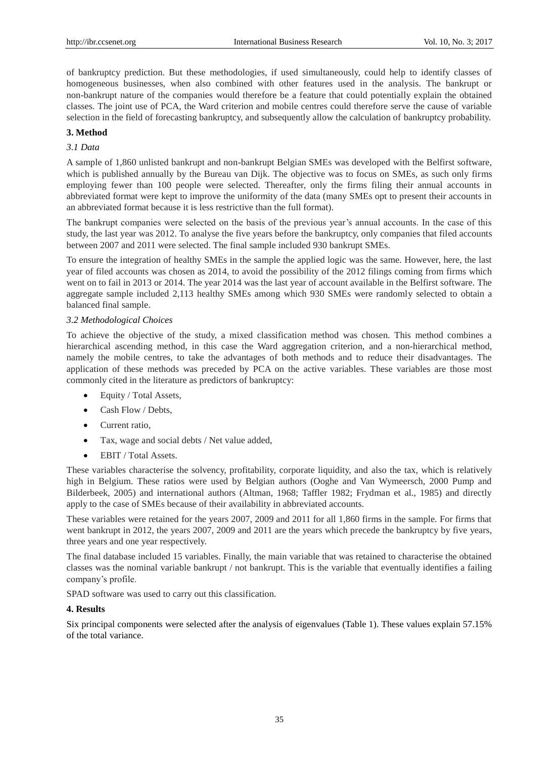of bankruptcy prediction. But these methodologies, if used simultaneously, could help to identify classes of homogeneous businesses, when also combined with other features used in the analysis. The bankrupt or non-bankrupt nature of the companies would therefore be a feature that could potentially explain the obtained classes. The joint use of PCA, the Ward criterion and mobile centres could therefore serve the cause of variable selection in the field of forecasting bankruptcy, and subsequently allow the calculation of bankruptcy probability.

## **3. Method**

# *3.1 Data*

A sample of 1,860 unlisted bankrupt and non-bankrupt Belgian SMEs was developed with the Belfirst software, which is published annually by the Bureau van Dijk. The objective was to focus on SMEs, as such only firms employing fewer than 100 people were selected. Thereafter, only the firms filing their annual accounts in abbreviated format were kept to improve the uniformity of the data (many SMEs opt to present their accounts in an abbreviated format because it is less restrictive than the full format).

The bankrupt companies were selected on the basis of the previous year's annual accounts. In the case of this study, the last year was 2012. To analyse the five years before the bankruptcy, only companies that filed accounts between 2007 and 2011 were selected. The final sample included 930 bankrupt SMEs.

To ensure the integration of healthy SMEs in the sample the applied logic was the same. However, here, the last year of filed accounts was chosen as 2014, to avoid the possibility of the 2012 filings coming from firms which went on to fail in 2013 or 2014. The year 2014 was the last year of account available in the Belfirst software. The aggregate sample included 2,113 healthy SMEs among which 930 SMEs were randomly selected to obtain a balanced final sample.

## *3.2 Methodological Choices*

To achieve the objective of the study, a mixed classification method was chosen. This method combines a hierarchical ascending method, in this case the Ward aggregation criterion, and a non-hierarchical method, namely the mobile centres, to take the advantages of both methods and to reduce their disadvantages. The application of these methods was preceded by PCA on the active variables. These variables are those most commonly cited in the literature as predictors of bankruptcy:

- Equity / Total Assets,
- Cash Flow / Debts,
- Current ratio.
- Tax, wage and social debts / Net value added,
- EBIT / Total Assets.

These variables characterise the solvency, profitability, corporate liquidity, and also the tax, which is relatively high in Belgium. These ratios were used by Belgian authors (Ooghe and Van Wymeersch, 2000 Pump and Bilderbeek, 2005) and international authors (Altman, 1968; Taffler 1982; Frydman et al., 1985) and directly apply to the case of SMEs because of their availability in abbreviated accounts.

These variables were retained for the years 2007, 2009 and 2011 for all 1,860 firms in the sample. For firms that went bankrupt in 2012, the years 2007, 2009 and 2011 are the years which precede the bankruptcy by five years, three years and one year respectively.

The final database included 15 variables. Finally, the main variable that was retained to characterise the obtained classes was the nominal variable bankrupt / not bankrupt. This is the variable that eventually identifies a failing company's profile.

SPAD software was used to carry out this classification.

## **4. Results**

Six principal components were selected after the analysis of eigenvalues (Table 1). These values explain 57.15% of the total variance.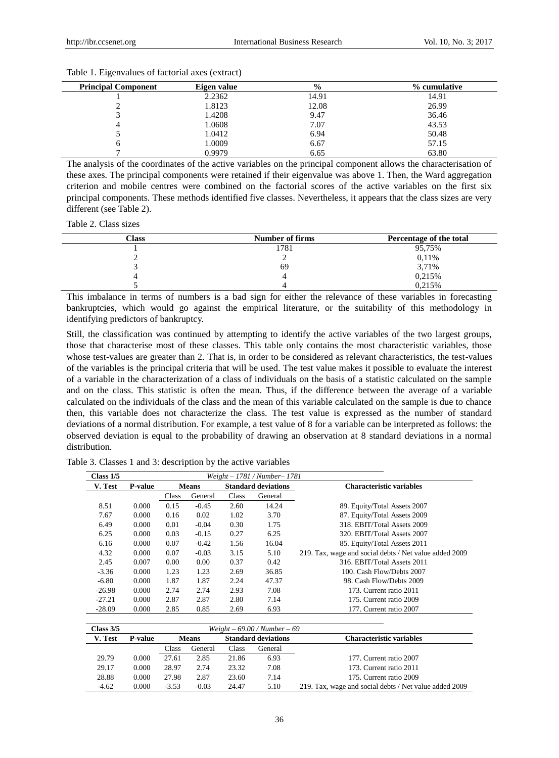| <b>Principal Component</b> | Eigen value | $\frac{6}{9}$ | % cumulative |
|----------------------------|-------------|---------------|--------------|
|                            | 2.2362      | 14.91         | 14.91        |
|                            | 1.8123      | 12.08         | 26.99        |
|                            | 1.4208      | 9.47          | 36.46        |
|                            | 1.0608      | 7.07          | 43.53        |
|                            | 1.0412      | 6.94          | 50.48        |
|                            | 1.0009      | 6.67          | 57.15        |
|                            | 0.9979      | 6.65          | 63.80        |

Table 1. Eigenvalues of factorial axes (extract)

The analysis of the coordinates of the active variables on the principal component allows the characterisation of these axes. The principal components were retained if their eigenvalue was above 1. Then, the Ward aggregation criterion and mobile centres were combined on the factorial scores of the active variables on the first six principal components. These methods identified five classes. Nevertheless, it appears that the class sizes are very different (see Table 2).

Table 2. Class sizes

| Class | Number of firms | Percentage of the total |
|-------|-----------------|-------------------------|
|       | 1781            | 95,75%                  |
|       |                 | 0,11%                   |
|       | 69              | 3,71%                   |
|       |                 | 0,215%                  |
|       |                 | 0.215%                  |

This imbalance in terms of numbers is a bad sign for either the relevance of these variables in forecasting bankruptcies, which would go against the empirical literature, or the suitability of this methodology in identifying predictors of bankruptcy.

Still, the classification was continued by attempting to identify the active variables of the two largest groups, those that characterise most of these classes. This table only contains the most characteristic variables, those whose test-values are greater than 2. That is, in order to be considered as relevant characteristics, the test-values of the variables is the principal criteria that will be used. The test value makes it possible to evaluate the interest of a variable in the characterization of a class of individuals on the basis of a statistic calculated on the sample and on the class. This statistic is often the mean. Thus, if the difference between the average of a variable calculated on the individuals of the class and the mean of this variable calculated on the sample is due to chance then, this variable does not characterize the class. The test value is expressed as the number of standard deviations of a normal distribution. For example, a test value of 8 for a variable can be interpreted as follows: the observed deviation is equal to the probability of drawing an observation at 8 standard deviations in a normal distribution.

Table 3. Classes 1 and 3: description by the active variables

| Class $1/5$<br>$Weight - 1781 / Number - 1781$ |                |         |              |       |                            |                                                        |
|------------------------------------------------|----------------|---------|--------------|-------|----------------------------|--------------------------------------------------------|
| V. Test                                        | P-value        |         | <b>Means</b> |       | <b>Standard deviations</b> | <b>Characteristic variables</b>                        |
|                                                |                | Class   | General      | Class | General                    |                                                        |
| 8.51                                           | 0.000          | 0.15    | $-0.45$      | 2.60  | 14.24                      | 89. Equity/Total Assets 2007                           |
| 7.67                                           | 0.000          | 0.16    | 0.02         | 1.02  | 3.70                       | 87. Equity/Total Assets 2009                           |
| 6.49                                           | 0.000          | 0.01    | $-0.04$      | 0.30  | 1.75                       | 318. EBIT/Total Assets 2009                            |
| 6.25                                           | 0.000          | 0.03    | $-0.15$      | 0.27  | 6.25                       | 320. EBIT/Total Assets 2007                            |
| 6.16                                           | 0.000          | 0.07    | $-0.42$      | 1.56  | 16.04                      | 85. Equity/Total Assets 2011                           |
| 4.32                                           | 0.000          | 0.07    | $-0.03$      | 3.15  | 5.10                       | 219. Tax, wage and social debts / Net value added 2009 |
| 2.45                                           | 0.007          | 0.00    | 0.00         | 0.37  | 0.42                       | 316. EBIT/Total Assets 2011                            |
| $-3.36$                                        | 0.000          | 1.23    | 1.23         | 2.69  | 36.85                      | 100. Cash Flow/Debts 2007                              |
| $-6.80$                                        | 0.000          | 1.87    | 1.87         | 2.24  | 47.37                      | 98. Cash Flow/Debts 2009                               |
| $-26.98$                                       | 0.000          | 2.74    | 2.74         | 2.93  | 7.08                       | 173. Current ratio 2011                                |
| $-27.21$                                       | 0.000          | 2.87    | 2.87         | 2.80  | 7.14                       | 175. Current ratio 2009                                |
| $-28.09$                                       | 0.000          | 2.85    | 0.85         | 2.69  | 6.93                       | 177. Current ratio 2007                                |
|                                                |                |         |              |       |                            |                                                        |
| Class $3/5$<br>$Weight - 69.00 / Number - 69$  |                |         |              |       |                            |                                                        |
| V. Test                                        | <b>P-value</b> |         | <b>Means</b> |       | <b>Standard deviations</b> | <b>Characteristic variables</b>                        |
|                                                |                | Class   | General      | Class | General                    |                                                        |
| 29.79                                          | 0.000          | 27.61   | 2.85         | 21.86 | 6.93                       | 177. Current ratio 2007                                |
| 29.17                                          | 0.000          | 28.97   | 2.74         | 23.32 | 7.08                       | 173. Current ratio 2011                                |
| 28.88                                          | 0.000          | 27.98   | 2.87         | 23.60 | 7.14                       | 175. Current ratio 2009                                |
| $-4.62$                                        | 0.000          | $-3.53$ | $-0.03$      | 24.47 | 5.10                       | 219. Tax, wage and social debts / Net value added 2009 |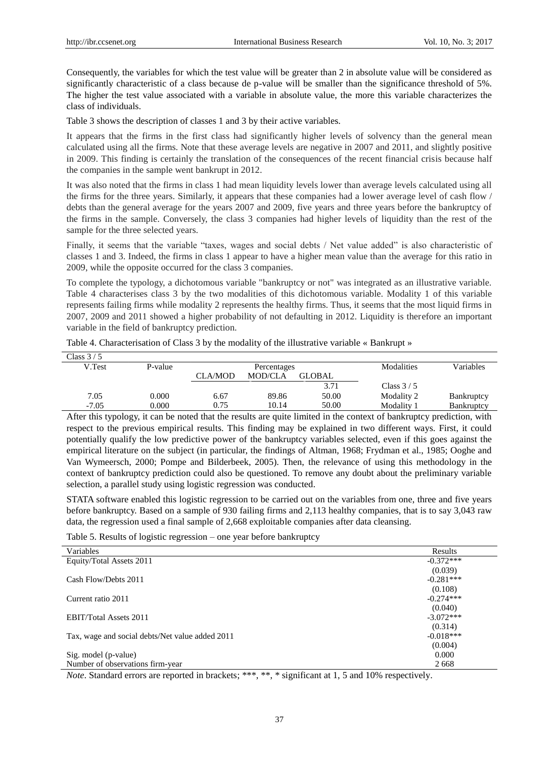Consequently, the variables for which the test value will be greater than 2 in absolute value will be considered as significantly characteristic of a class because de p-value will be smaller than the significance threshold of 5%. The higher the test value associated with a variable in absolute value, the more this variable characterizes the class of individuals.

Table 3 shows the description of classes 1 and 3 by their active variables.

It appears that the firms in the first class had significantly higher levels of solvency than the general mean calculated using all the firms. Note that these average levels are negative in 2007 and 2011, and slightly positive in 2009. This finding is certainly the translation of the consequences of the recent financial crisis because half the companies in the sample went bankrupt in 2012.

It was also noted that the firms in class 1 had mean liquidity levels lower than average levels calculated using all the firms for the three years. Similarly, it appears that these companies had a lower average level of cash flow / debts than the general average for the years 2007 and 2009, five years and three years before the bankruptcy of the firms in the sample. Conversely, the class 3 companies had higher levels of liquidity than the rest of the sample for the three selected years.

Finally, it seems that the variable "taxes, wages and social debts / Net value added" is also characteristic of classes 1 and 3. Indeed, the firms in class 1 appear to have a higher mean value than the average for this ratio in 2009, while the opposite occurred for the class 3 companies.

To complete the typology, a dichotomous variable "bankruptcy or not" was integrated as an illustrative variable. Table 4 characterises class 3 by the two modalities of this dichotomous variable. Modality 1 of this variable represents failing firms while modality 2 represents the healthy firms. Thus, it seems that the most liquid firms in 2007, 2009 and 2011 showed a higher probability of not defaulting in 2012. Liquidity is therefore an important variable in the field of bankruptcy prediction.

| Class $3/5$ |         |                |                |               |             |                   |
|-------------|---------|----------------|----------------|---------------|-------------|-------------------|
| V.Test      | P-value | Percentages    |                |               | Modalities  | Variables         |
|             |         | <b>CLA/MOD</b> | <b>MOD/CLA</b> | <b>GLOBAL</b> |             |                   |
|             |         |                |                | 3.71          | Class $3/5$ |                   |
| 7.05        | 0.000   | 6.67           | 89.86          | 50.00         | Modality 2  | <b>Bankruptcy</b> |
| $-7.05$     | 0.000   | 0.75           | 10.14          | 50.00         | Modality 1  | Bankruptcy        |

Table 4. Characterisation of Class 3 by the modality of the illustrative variable «Bankrupt »

After this typology, it can be noted that the results are quite limited in the context of bankruptcy prediction, with respect to the previous empirical results. This finding may be explained in two different ways. First, it could potentially qualify the low predictive power of the bankruptcy variables selected, even if this goes against the empirical literature on the subject (in particular, the findings of Altman, 1968; Frydman et al., 1985; Ooghe and Van Wymeersch, 2000; Pompe and Bilderbeek, 2005). Then, the relevance of using this methodology in the context of bankruptcy prediction could also be questioned. To remove any doubt about the preliminary variable selection, a parallel study using logistic regression was conducted.

STATA software enabled this logistic regression to be carried out on the variables from one, three and five years before bankruptcy. Based on a sample of 930 failing firms and 2,113 healthy companies, that is to say 3,043 raw data, the regression used a final sample of 2,668 exploitable companies after data cleansing.

Table 5. Results of logistic regression – one year before bankruptcy

| Variables                                       | Results     |
|-------------------------------------------------|-------------|
| Equity/Total Assets 2011                        | $-0.372***$ |
|                                                 | (0.039)     |
| Cash Flow/Debts 2011                            | $-0.281***$ |
|                                                 | (0.108)     |
| Current ratio 2011                              | $-0.274***$ |
|                                                 | (0.040)     |
| <b>EBIT/Total Assets 2011</b>                   | $-3.072***$ |
|                                                 | (0.314)     |
| Tax, wage and social debts/Net value added 2011 | $-0.018***$ |
|                                                 | (0.004)     |
| Sig. model (p-value)                            | 0.000       |
| Number of observations firm-year                | 2668        |

*Note*. Standard errors are reported in brackets; \*\*\*, \*\*, \* significant at 1, 5 and 10% respectively.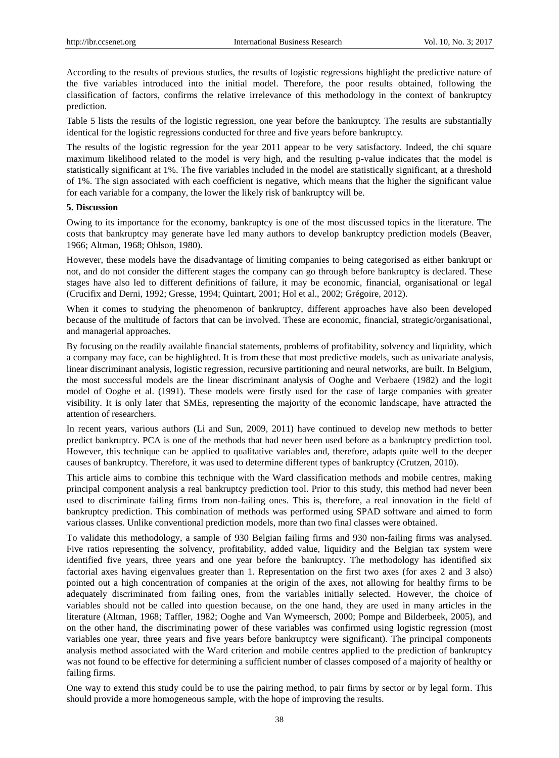According to the results of previous studies, the results of logistic regressions highlight the predictive nature of the five variables introduced into the initial model. Therefore, the poor results obtained, following the classification of factors, confirms the relative irrelevance of this methodology in the context of bankruptcy prediction.

Table 5 lists the results of the logistic regression, one year before the bankruptcy. The results are substantially identical for the logistic regressions conducted for three and five years before bankruptcy.

The results of the logistic regression for the year 2011 appear to be very satisfactory. Indeed, the chi square maximum likelihood related to the model is very high, and the resulting p-value indicates that the model is statistically significant at 1%. The five variables included in the model are statistically significant, at a threshold of 1%. The sign associated with each coefficient is negative, which means that the higher the significant value for each variable for a company, the lower the likely risk of bankruptcy will be.

## **5. Discussion**

Owing to its importance for the economy, bankruptcy is one of the most discussed topics in the literature. The costs that bankruptcy may generate have led many authors to develop bankruptcy prediction models (Beaver, 1966; Altman, 1968; Ohlson, 1980).

However, these models have the disadvantage of limiting companies to being categorised as either bankrupt or not, and do not consider the different stages the company can go through before bankruptcy is declared. These stages have also led to different definitions of failure, it may be economic, financial, organisational or legal (Crucifix and Derni, 1992; Gresse, 1994; Quintart, 2001; Hol et al., 2002; Grégoire, 2012).

When it comes to studying the phenomenon of bankruptcy, different approaches have also been developed because of the multitude of factors that can be involved. These are economic, financial, strategic/organisational, and managerial approaches.

By focusing on the readily available financial statements, problems of profitability, solvency and liquidity, which a company may face, can be highlighted. It is from these that most predictive models, such as univariate analysis, linear discriminant analysis, logistic regression, recursive partitioning and neural networks, are built. In Belgium, the most successful models are the linear discriminant analysis of Ooghe and Verbaere (1982) and the logit model of Ooghe et al. (1991). These models were firstly used for the case of large companies with greater visibility. It is only later that SMEs, representing the majority of the economic landscape, have attracted the attention of researchers.

In recent years, various authors (Li and Sun, 2009, 2011) have continued to develop new methods to better predict bankruptcy. PCA is one of the methods that had never been used before as a bankruptcy prediction tool. However, this technique can be applied to qualitative variables and, therefore, adapts quite well to the deeper causes of bankruptcy. Therefore, it was used to determine different types of bankruptcy (Crutzen, 2010).

This article aims to combine this technique with the Ward classification methods and mobile centres, making principal component analysis a real bankruptcy prediction tool. Prior to this study, this method had never been used to discriminate failing firms from non-failing ones. This is, therefore, a real innovation in the field of bankruptcy prediction. This combination of methods was performed using SPAD software and aimed to form various classes. Unlike conventional prediction models, more than two final classes were obtained.

To validate this methodology, a sample of 930 Belgian failing firms and 930 non-failing firms was analysed. Five ratios representing the solvency, profitability, added value, liquidity and the Belgian tax system were identified five years, three years and one year before the bankruptcy. The methodology has identified six factorial axes having eigenvalues greater than 1. Representation on the first two axes (for axes 2 and 3 also) pointed out a high concentration of companies at the origin of the axes, not allowing for healthy firms to be adequately discriminated from failing ones, from the variables initially selected. However, the choice of variables should not be called into question because, on the one hand, they are used in many articles in the literature (Altman, 1968; Taffler, 1982; Ooghe and Van Wymeersch, 2000; Pompe and Bilderbeek, 2005), and on the other hand, the discriminating power of these variables was confirmed using logistic regression (most variables one year, three years and five years before bankruptcy were significant). The principal components analysis method associated with the Ward criterion and mobile centres applied to the prediction of bankruptcy was not found to be effective for determining a sufficient number of classes composed of a majority of healthy or failing firms.

One way to extend this study could be to use the pairing method, to pair firms by sector or by legal form. This should provide a more homogeneous sample, with the hope of improving the results.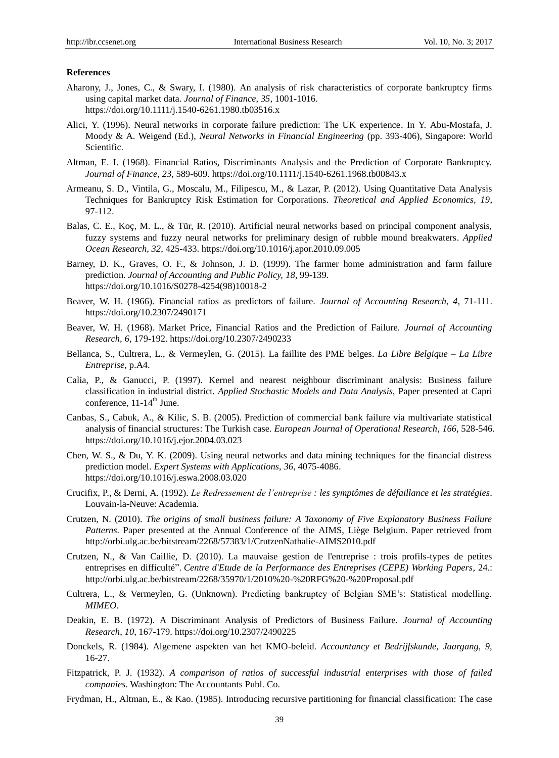#### **References**

- Aharony, J., Jones, C., & Swary, I. (1980). An analysis of risk characteristics of corporate bankruptcy firms using capital market data. *Journal of Finance, 35*, 1001-1016. https://doi.org/10.1111/j.1540-6261.1980.tb03516.x
- Alici, Y. (1996). Neural networks in corporate failure prediction: The UK experience. In Y. Abu-Mostafa, J. Moody & A. Weigend (Ed.), *Neural Networks in Financial Engineering* (pp. 393-406), Singapore: World Scientific.
- Altman, E. I. (1968). Financial Ratios, Discriminants Analysis and the Prediction of Corporate Bankruptcy. *Journal of Finance*, *23*, 589-609. https://doi.org/10.1111/j.1540-6261.1968.tb00843.x
- Armeanu, S. D., Vintila, G., Moscalu, M., Filipescu, M., & Lazar, P. (2012). Using Quantitative Data Analysis Techniques for Bankruptcy Risk Estimation for Corporations. *Theoretical and Applied Economics, 19*, 97-112.
- Balas, C. E., Koç, M. L., & Tür, R. (2010). Artificial neural networks based on principal component analysis, fuzzy systems and fuzzy neural networks for preliminary design of rubble mound breakwaters. *Applied Ocean Research, 32*, 425-433. https://doi.org/10.1016/j.apor.2010.09.005
- Barney, D. K., Graves, O. F., & Johnson, J. D. (1999). The farmer home administration and farm failure prediction. *Journal of Accounting and Public Policy, 18,* 99-139. https://doi.org/10.1016/S0278-4254(98)10018-2
- Beaver, W. H. (1966). Financial ratios as predictors of failure. *Journal of Accounting Research*, *4,* 71-111. https://doi.org/10.2307/2490171
- Beaver, W. H. (1968). Market Price, Financial Ratios and the Prediction of Failure. *Journal of Accounting Research, 6*, 179-192. https://doi.org/10.2307/2490233
- Bellanca, S., Cultrera, L., & Vermeylen, G. (2015). La faillite des PME belges. *La Libre Belgique – La Libre Entreprise*, p.A4.
- Calia, P., & Ganucci, P. (1997). Kernel and nearest neighbour discriminant analysis: Business failure classification in industrial district. *Applied Stochastic Models and Data Analysis,* Paper presented at Capri conference,  $11-14^{\text{th}}$  June.
- Canbas, S., Cabuk, A., & Kilic, S. B. (2005). Prediction of commercial bank failure via multivariate statistical analysis of financial structures: The Turkish case. *European Journal of Operational Research*, *166*, 528-546. https://doi.org/10.1016/j.ejor.2004.03.023
- Chen, W. S., & Du, Y. K. (2009). Using neural networks and data mining techniques for the financial distress prediction model. *Expert Systems with Applications*, *36*, 4075-4086. https://doi.org/10.1016/j.eswa.2008.03.020
- Crucifix, P., & Derni, A. (1992). *Le Redressement de l'entreprise : les symptômes de défaillance et les stratégies*. Louvain-la-Neuve: Academia.
- Crutzen, N. (2010). *The origins of small business failure: A Taxonomy of Five Explanatory Business Failure Patterns*. Paper presented at the Annual Conference of the AIMS, Liège Belgium. Paper retrieved from http://orbi.ulg.ac.be/bitstream/2268/57383/1/CrutzenNathalie-AIMS2010.pdf
- Crutzen, N., & Van Caillie, D. (2010). La mauvaise gestion de l'entreprise : trois profils-types de petites entreprises en difficulté". *Centre d'Etude de la Performance des Entreprises (CEPE) Working Papers*, 24.: <http://orbi.ulg.ac.be/bitstream/2268/35970/1/2010%20-%20RFG%20-%20Proposal.pdf>
- Cultrera, L., & Vermeylen, G. (Unknown). Predicting bankruptcy of Belgian SME's: Statistical modelling. *MIMEO*.
- Deakin, E. B. (1972). A Discriminant Analysis of Predictors of Business Failure. *Journal of Accounting Research*, *10*, 167-179. https://doi.org/10.2307/2490225
- Donckels, R. (1984). Algemene aspekten van het KMO-beleid. *Accountancy et Bedrijfskunde, Jaargang, 9,* 16-27.
- Fitzpatrick, P. J. (1932). *A comparison of ratios of successful industrial enterprises with those of failed companies*. Washington: The Accountants Publ. Co.
- Frydman, H., Altman, E., & Kao. (1985). Introducing recursive partitioning for financial classification: The case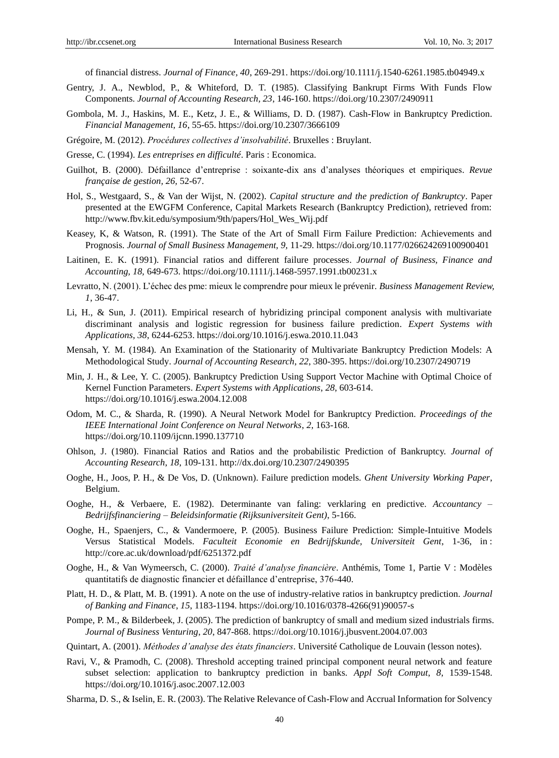of financial distress. *Journal of Finance, 40*, 269-291. https://doi.org/10.1111/j.1540-6261.1985.tb04949.x

- Gentry, J. A., Newblod, P., & Whiteford, D. T. (1985). Classifying Bankrupt Firms With Funds Flow Components. *Journal of Accounting Research, 23*, 146-160. https://doi.org/10.2307/2490911
- Gombola, M. J., Haskins, M. E., Ketz, J. E., & Williams, D. D. (1987). Cash-Flow in Bankruptcy Prediction. *Financial Management, 16*, 55-65. https://doi.org/10.2307/3666109
- Grégoire, M. (2012). *Procédures collectives d'insolvabilité*. Bruxelles : Bruylant.
- Gresse, C. (1994). *Les entreprises en difficulté*. Paris : Economica.
- Guilhot, B. (2000). Défaillance d'entreprise : soixante-dix ans d'analyses théoriques et empiriques. *Revue française de gestion, 26,* 52-67.
- Hol, S., Westgaard, S., & Van der Wijst, N. (2002). *Capital structure and the prediction of Bankruptcy*. Paper presented at the EWGFM Conference, Capital Markets Research (Bankruptcy Prediction), retrieved from: http://www.fbv.kit.edu/symposium/9th/papers/Hol\_Wes\_Wij.pdf
- Keasey, K, & Watson, R. (1991). The State of the Art of Small Firm Failure Prediction: Achievements and Prognosis. *Journal of Small Business Management, 9,* 11-29. https://doi.org/10.1177/026624269100900401
- Laitinen, E. K. (1991). Financial ratios and different failure processes. *Journal of Business, Finance and Accounting, 18,* 649-673. https://doi.org/10.1111/j.1468-5957.1991.tb00231.x
- Levratto, N. (2001). L'échec des pme: mieux le comprendre pour mieux le prévenir. *Business Management Review, 1*, 36-47.
- Li, H., & Sun, J. (2011). Empirical research of hybridizing principal component analysis with multivariate discriminant analysis and logistic regression for business failure prediction. *Expert Systems with Applications, 38*, 6244-6253. https://doi.org/10.1016/j.eswa.2010.11.043
- Mensah, Y. M. (1984). An Examination of the Stationarity of Multivariate Bankruptcy Prediction Models: A Methodological Study. *Journal of Accounting Research*, *22*, 380-395. https://doi.org/10.2307/2490719
- Min, J. H., & Lee, Y. C. (2005). Bankruptcy Prediction Using Support Vector Machine with Optimal Choice of Kernel Function Parameters. *Expert Systems with Applications*, *28*, 603-614. https://doi.org/10.1016/j.eswa.2004.12.008
- Odom, M. C., & Sharda, R. (1990). A Neural Network Model for Bankruptcy Prediction. *Proceedings of the IEEE International Joint Conference on Neural Networks*, *2*, 163-168. https://doi.org/10.1109/ijcnn.1990.137710
- Ohlson, J. (1980). Financial Ratios and Ratios and the probabilistic Prediction of Bankruptcy. *Journal of Accounting Research*, *18*, 109-131. http://dx.doi.org/10.2307/2490395
- Ooghe, H., Joos, P. H., & De Vos, D. (Unknown). Failure prediction models. *Ghent University Working Paper*, Belgium.
- Ooghe, H., & Verbaere, E. (1982). Determinante van faling: verklaring en predictive. *Accountancy – Bedrijfsfinanciering – Beleidsinformatie (Rijksuniversiteit Gent)*, 5-166.
- Ooghe, H., Spaenjers, C., & Vandermoere, P. (2005). Business Failure Prediction: Simple-Intuitive Models Versus Statistical Models. *Faculteit Economie en Bedrijfskunde, Universiteit Gent*, 1-36, in : http://core.ac.uk/download/pdf/6251372.pdf
- Ooghe, H., & Van Wymeersch, C. (2000). *Traité d'analyse financière*. Anthémis, Tome 1, Partie V : Modèles quantitatifs de diagnostic financier et défaillance d'entreprise, 376-440.
- Platt, H. D., & Platt, M. B. (1991). A note on the use of industry-relative ratios in bankruptcy prediction. *Journal of Banking and Finance*, *15*, 1183-1194. https://doi.org/10.1016/0378-4266(91)90057-s
- Pompe, P. M., & Bilderbeek, J. (2005). The prediction of bankruptcy of small and medium sized industrials firms. *Journal of Business Venturing*, *20*, 847-868. https://doi.org/10.1016/j.jbusvent.2004.07.003
- Quintart, A. (2001). *Méthodes d'analyse des états financiers*. Université Catholique de Louvain (lesson notes).
- Ravi, V., & Pramodh, C. (2008). Threshold accepting trained principal component neural network and feature subset selection: application to bankruptcy prediction in banks. *Appl Soft Comput*, *8*, 1539-1548. https://doi.org/10.1016/j.asoc.2007.12.003
- Sharma, D. S., & Iselin, E. R. (2003). The Relative Relevance of Cash-Flow and Accrual Information for Solvency